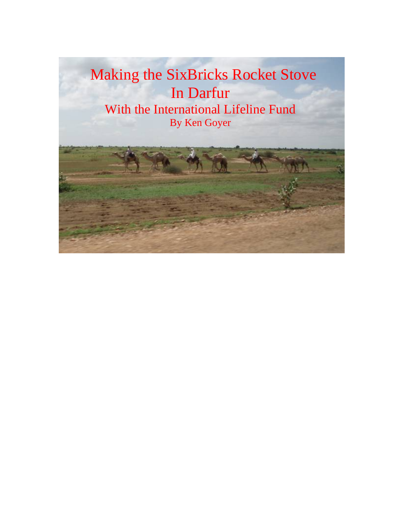Making the SixBricks Rocket Stove In Darfur With the International Lifeline Fund By Ken Goyer

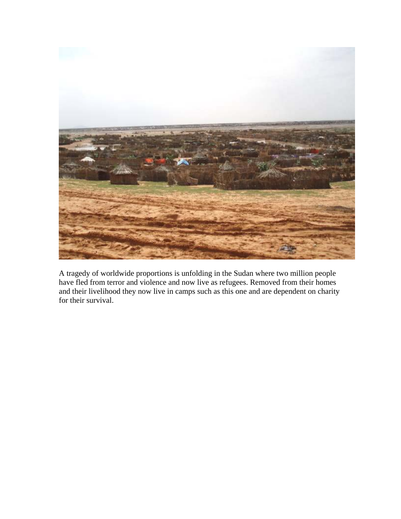

A tragedy of worldwide proportions is unfolding in the Sudan where two million people have fled from terror and violence and now live as refugees. Removed from their homes and their livelihood they now live in camps such as this one and are dependent on charity for their survival.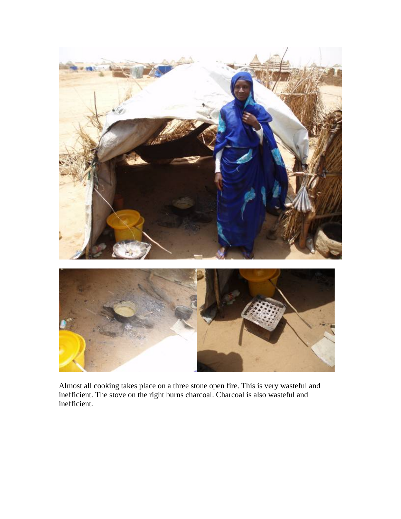

Almost all cooking takes place on a three stone open fire. This is very wasteful and inefficient. The stove on the right burns charcoal. Charcoal is also wasteful and inefficient.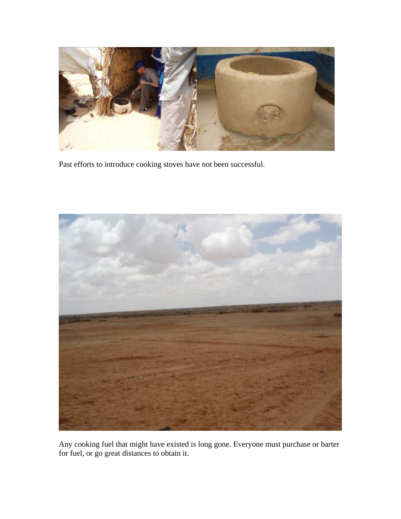

Past efforts to introduce cooking stoves have not been successful.



Any cooking fuel that might have existed is long gone. Everyone must purchase or barter for fuel, or go great distances to obtain it.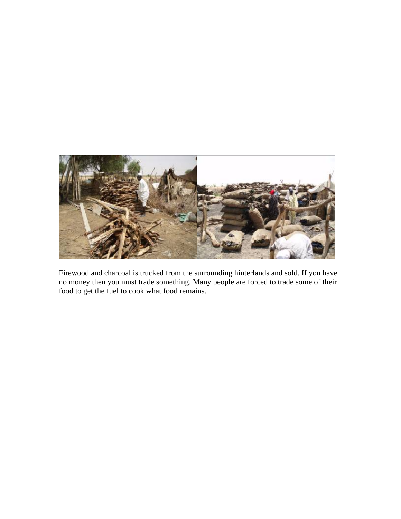

Firewood and charcoal is trucked from the surrounding hinterlands and sold. If you have no money then you must trade something. Many people are forced to trade some of their food to get the fuel to cook what food remains.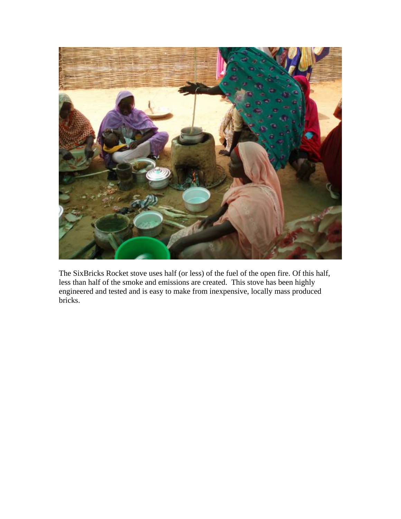

The SixBricks Rocket stove uses half (or less) of the fuel of the open fire. Of this half, less than half of the smoke and emissions are created. This stove has been highly engineered and tested and is easy to make from inexpensive, locally mass produced bricks.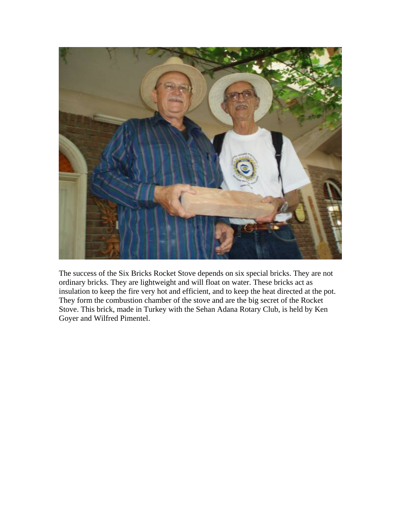

The success of the Six Bricks Rocket Stove depends on six special bricks. They are not ordinary bricks. They are lightweight and will float on water. These bricks act as insulation to keep the fire very hot and efficient, and to keep the heat directed at the pot. They form the combustion chamber of the stove and are the big secret of the Rocket Stove. This brick, made in Turkey with the Sehan Adana Rotary Club, is held by Ken Goyer and Wilfred Pimentel.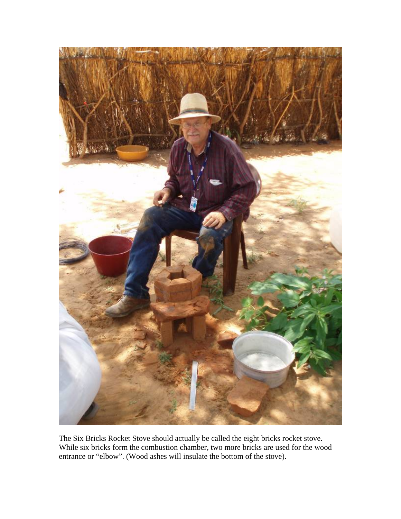

The Six Bricks Rocket Stove should actually be called the eight bricks rocket stove. While six bricks form the combustion chamber, two more bricks are used for the wood entrance or "elbow". (Wood ashes will insulate the bottom of the stove).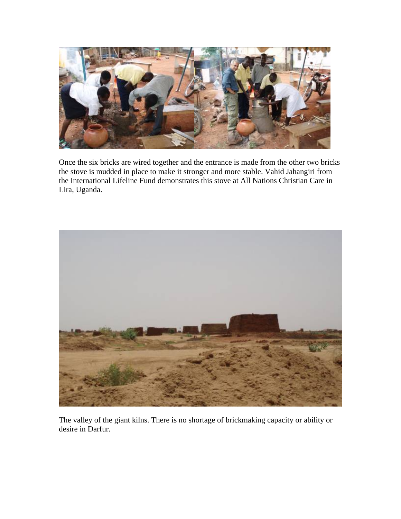

Once the six bricks are wired together and the entrance is made from the other two bricks the stove is mudded in place to make it stronger and more stable. Vahid Jahangiri from the International Lifeline Fund demonstrates this stove at All Nations Christian Care in Lira, Uganda.



The valley of the giant kilns. There is no shortage of brickmaking capacity or ability or desire in Darfur.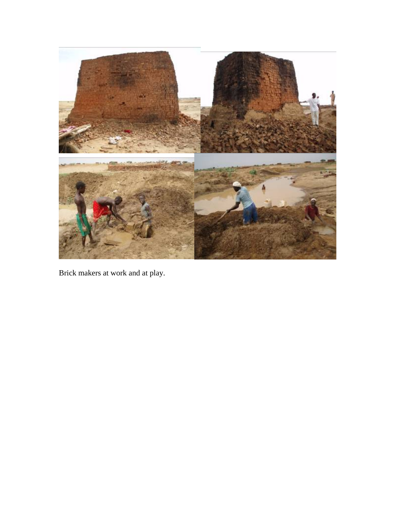

Brick makers at work and at play.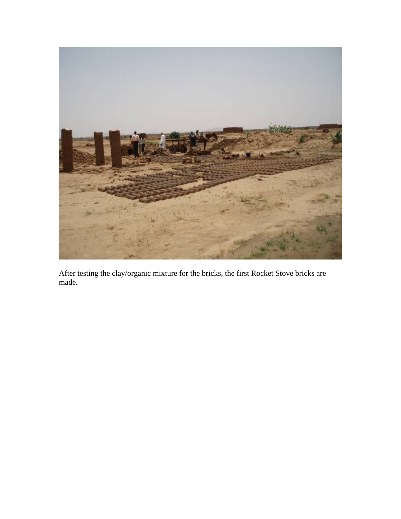

After testing the clay/organic mixture for the bricks, the first Rocket Stove bricks are made.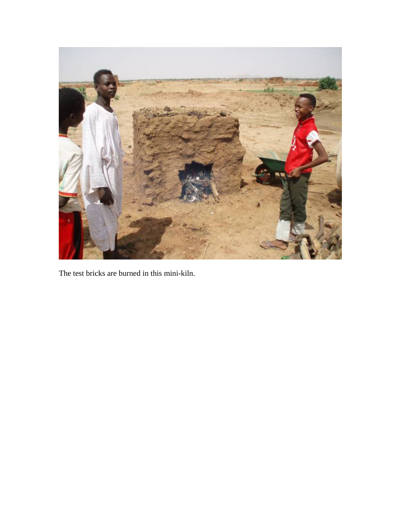

The test bricks are burned in this mini-kiln.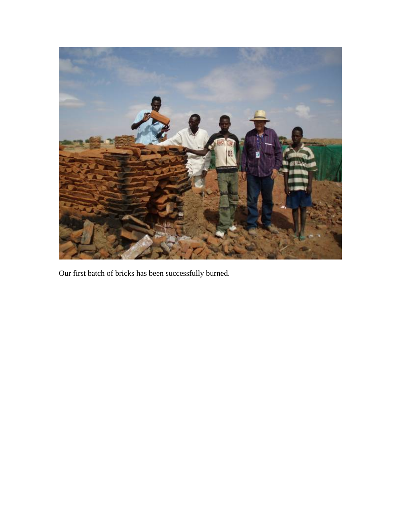

Our first batch of bricks has been successfully burned.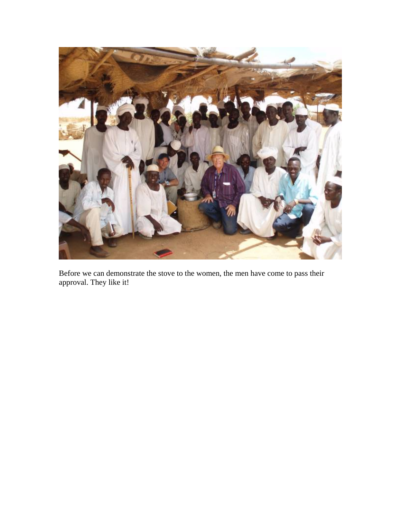

Before we can demonstrate the stove to the women, the men have come to pass their approval. They like it!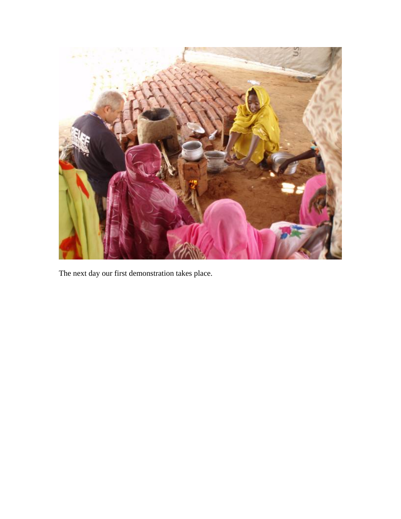

The next day our first demonstration takes place.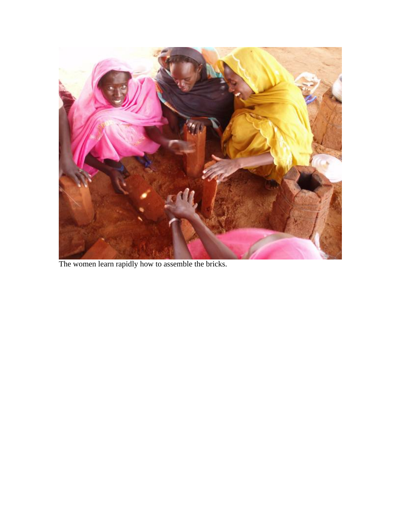

The women learn rapidly how to assemble the bricks.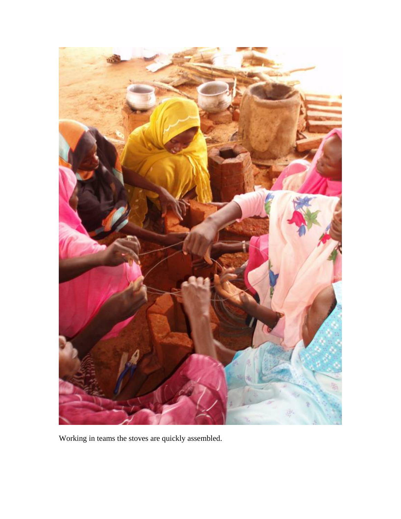

Working in teams the stoves are quickly assembled.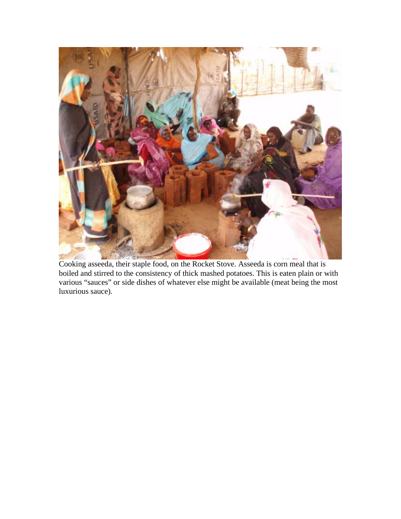

Cooking asseeda, their staple food, on the Rocket Stove. Asseeda is corn meal that is boiled and stirred to the consistency of thick mashed potatoes. This is eaten plain or with various "sauces" or side dishes of whatever else might be available (meat being the most luxurious sauce).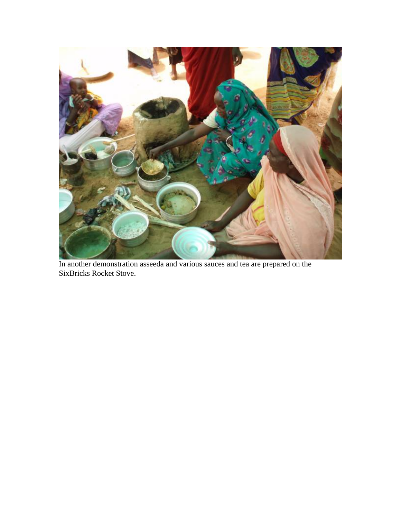

In another demonstration asseeda and various sauces and tea are prepared on the SixBricks Rocket Stove.